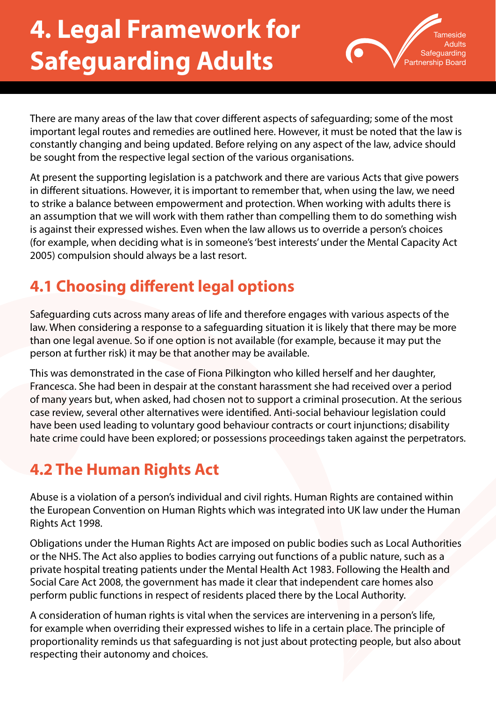# **4. Legal Framework for Safeguarding Adults**



There are many areas of the law that cover different aspects of safeguarding; some of the most important legal routes and remedies are outlined here. However, it must be noted that the law is constantly changing and being updated. Before relying on any aspect of the law, advice should be sought from the respective legal section of the various organisations.

At present the supporting legislation is a patchwork and there are various Acts that give powers in different situations. However, it is important to remember that, when using the law, we need to strike a balance between empowerment and protection. When working with adults there is an assumption that we will work with them rather than compelling them to do something wish is against their expressed wishes. Even when the law allows us to override a person's choices (for example, when deciding what is in someone's 'best interests' under the Mental Capacity Act 2005) compulsion should always be a last resort.

# **4.1 Choosing different legal options**

Safeguarding cuts across many areas of life and therefore engages with various aspects of the law. When considering a response to a safeguarding situation it is likely that there may be more than one legal avenue. So if one option is not available (for example, because it may put the person at further risk) it may be that another may be available.

This was demonstrated in the case of Fiona Pilkington who killed herself and her daughter, Francesca. She had been in despair at the constant harassment she had received over a period of many years but, when asked, had chosen not to support a criminal prosecution. At the serious case review, several other alternatives were identified. Anti-social behaviour legislation could have been used leading to voluntary good behaviour contracts or court injunctions; disability hate crime could have been explored; or possessions proceedings taken against the perpetrators.

# **4.2 The Human Rights Act**

Abuse is a violation of a person's individual and civil rights. Human Rights are contained within the European Convention on Human Rights which was integrated into UK law under the Human Rights Act 1998.

Obligations under the Human Rights Act are imposed on public bodies such as Local Authorities or the NHS. The Act also applies to bodies carrying out functions of a public nature, such as a private hospital treating patients under the Mental Health Act 1983. Following the Health and Social Care Act 2008, the government has made it clear that independent care homes also perform public functions in respect of residents placed there by the Local Authority.

A consideration of human rights is vital when the services are intervening in a person's life, for example when overriding their expressed wishes to life in a certain place. The principle of proportionality reminds us that safeguarding is not just about protecting people, but also about respecting their autonomy and choices.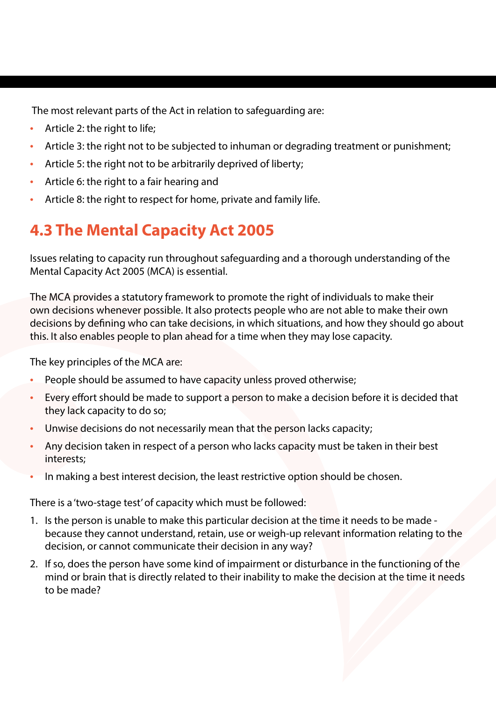The most relevant parts of the Act in relation to safeguarding are:

- Article 2: the right to life;
- Article 3: the right not to be subjected to inhuman or degrading treatment or punishment;
- Article 5: the right not to be arbitrarily deprived of liberty;
- Article 6: the right to a fair hearing and
- Article 8: the right to respect for home, private and family life.

# **4.3 The Mental Capacity Act 2005**

Issues relating to capacity run throughout safeguarding and a thorough understanding of the Mental Capacity Act 2005 (MCA) is essential.

The MCA provides a statutory framework to promote the right of individuals to make their own decisions whenever possible. It also protects people who are not able to make their own decisions by defining who can take decisions, in which situations, and how they should go about this. It also enables people to plan ahead for a time when they may lose capacity.

The key principles of the MCA are:

- People should be assumed to have capacity unless proved otherwise;
- Every effort should be made to support a person to make a decision before it is decided that they lack capacity to do so;
- Unwise decisions do not necessarily mean that the person lacks capacity;
- Any decision taken in respect of a person who lacks capacity must be taken in their best interests;
- In making a best interest decision, the least restrictive option should be chosen.

There is a 'two-stage test' of capacity which must be followed:

- 1. Is the person is unable to make this particular decision at the time it needs to be made because they cannot understand, retain, use or weigh-up relevant information relating to the decision, or cannot communicate their decision in any way?
- 2. If so, does the person have some kind of impairment or disturbance in the functioning of the mind or brain that is directly related to their inability to make the decision at the time it needs to be made?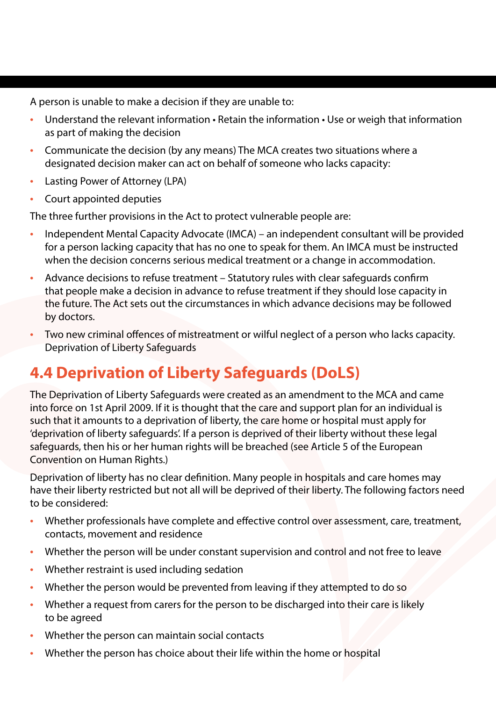A person is unable to make a decision if they are unable to:

- Understand the relevant information Retain the information Use or weigh that information as part of making the decision
- Communicate the decision (by any means) The MCA creates two situations where a designated decision maker can act on behalf of someone who lacks capacity:
- Lasting Power of Attorney (LPA)
- Court appointed deputies

The three further provisions in the Act to protect vulnerable people are:

- Independent Mental Capacity Advocate (IMCA) an independent consultant will be provided for a person lacking capacity that has no one to speak for them. An IMCA must be instructed when the decision concerns serious medical treatment or a change in accommodation.
- Advance decisions to refuse treatment Statutory rules with clear safeguards confirm that people make a decision in advance to refuse treatment if they should lose capacity in the future. The Act sets out the circumstances in which advance decisions may be followed by doctors.
- Two new criminal offences of mistreatment or wilful neglect of a person who lacks capacity. Deprivation of Liberty Safeguards

## **4.4 Deprivation of Liberty Safeguards (DoLS)**

The Deprivation of Liberty Safeguards were created as an amendment to the MCA and came into force on 1st April 2009. If it is thought that the care and support plan for an individual is such that it amounts to a deprivation of liberty, the care home or hospital must apply for 'deprivation of liberty safeguards'. If a person is deprived of their liberty without these legal safeguards, then his or her human rights will be breached (see Article 5 of the European Convention on Human Rights.)

Deprivation of liberty has no clear definition. Many people in hospitals and care homes may have their liberty restricted but not all will be deprived of their liberty. The following factors need to be considered:

- Whether professionals have complete and effective control over assessment, care, treatment, contacts, movement and residence
- Whether the person will be under constant supervision and control and not free to leave
- Whether restraint is used including sedation
- Whether the person would be prevented from leaving if they attempted to do so
- Whether a request from carers for the person to be discharged into their care is likely to be agreed
- Whether the person can maintain social contacts
- Whether the person has choice about their life within the home or hospital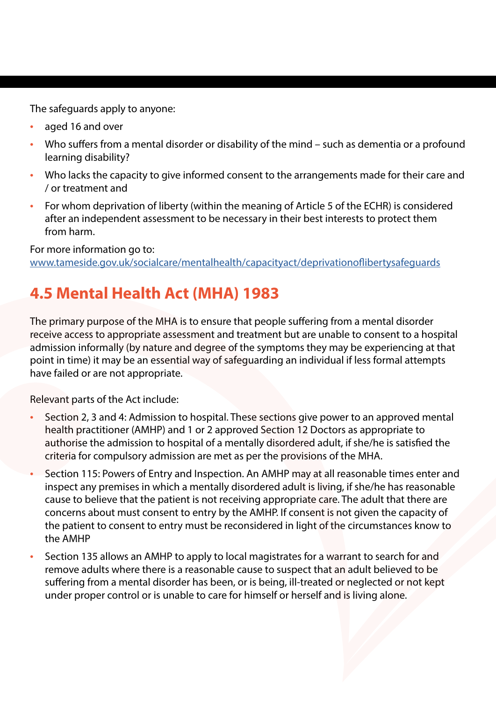The safeguards apply to anyone:

- aged 16 and over
- Who suffers from a mental disorder or disability of the mind such as dementia or a profound learning disability?
- Who lacks the capacity to give informed consent to the arrangements made for their care and / or treatment and
- For whom deprivation of liberty (within the meaning of Article 5 of the ECHR) is considered after an independent assessment to be necessary in their best interests to protect them from harm.

For more information go to:

[www.tameside.gov.uk/socialcare/mentalhealth/capacityact/deprivationoflibertysafeguards](http://www.tameside.gov.uk/socialcare/mentalhealth/capacityact/deprivationoflibertysafeguards)

# **4.5 Mental Health Act (MHA) 1983**

The primary purpose of the MHA is to ensure that people suffering from a mental disorder receive access to appropriate assessment and treatment but are unable to consent to a hospital admission informally (by nature and degree of the symptoms they may be experiencing at that point in time) it may be an essential way of safeguarding an individual if less formal attempts have failed or are not appropriate.

Relevant parts of the Act include:

- Section 2, 3 and 4: Admission to hospital. These sections give power to an approved mental health practitioner (AMHP) and 1 or 2 approved Section 12 Doctors as appropriate to authorise the admission to hospital of a mentally disordered adult, if she/he is satisfied the criteria for compulsory admission are met as per the provisions of the MHA.
- Section 115: Powers of Entry and Inspection. An AMHP may at all reasonable times enter and inspect any premises in which a mentally disordered adult is living, if she/he has reasonable cause to believe that the patient is not receiving appropriate care. The adult that there are concerns about must consent to entry by the AMHP. If consent is not given the capacity of the patient to consent to entry must be reconsidered in light of the circumstances know to the AMHP
- Section 135 allows an AMHP to apply to local magistrates for a warrant to search for and remove adults where there is a reasonable cause to suspect that an adult believed to be suffering from a mental disorder has been, or is being, ill-treated or neglected or not kept under proper control or is unable to care for himself or herself and is living alone.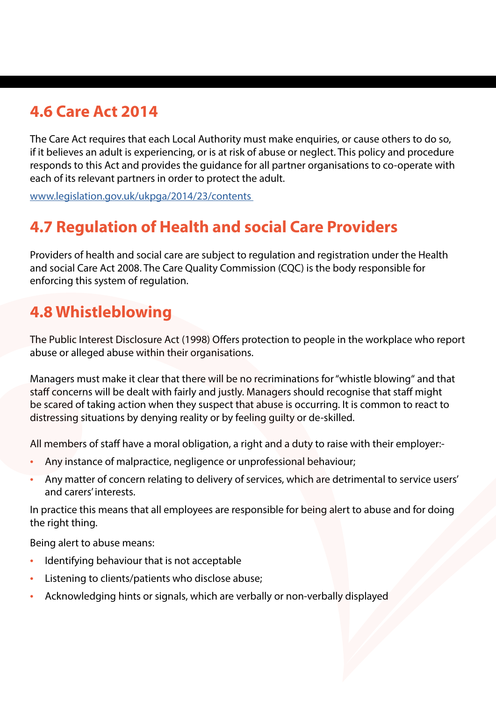## **4.6 Care Act 2014**

The Care Act requires that each Local Authority must make enquiries, or cause others to do so, if it believes an adult is experiencing, or is at risk of abuse or neglect. This policy and procedure responds to this Act and provides the guidance for all partner organisations to co-operate with each of its relevant partners in order to protect the adult.

[www.legislation.gov.uk/ukpga/2014/23/contents](http://www.legislation.gov.uk/ukpga/2014/23/contents) 

## **4.7 Regulation of Health and social Care Providers**

Providers of health and social care are subject to regulation and registration under the Health and social Care Act 2008. The Care Quality Commission (CQC) is the body responsible for enforcing this system of regulation.

#### **4.8 Whistleblowing**

The Public Interest Disclosure Act (1998) Offers protection to people in the workplace who report abuse or alleged abuse within their organisations.

Managers must make it clear that there will be no recriminations for "whistle blowing" and that staff concerns will be dealt with fairly and justly. Managers should recognise that staff might be scared of taking action when they suspect that abuse is occurring. It is common to react to distressing situations by denying reality or by feeling guilty or de-skilled.

All members of staff have a moral obligation, a right and a duty to raise with their employer:-

- Any instance of malpractice, negligence or unprofessional behaviour;
- Any matter of concern relating to delivery of services, which are detrimental to service users' and carers' interests.

In practice this means that all employees are responsible for being alert to abuse and for doing the right thing.

Being alert to abuse means:

- Identifying behaviour that is not acceptable
- Listening to clients/patients who disclose abuse;
- Acknowledging hints or signals, which are verbally or non-verbally displayed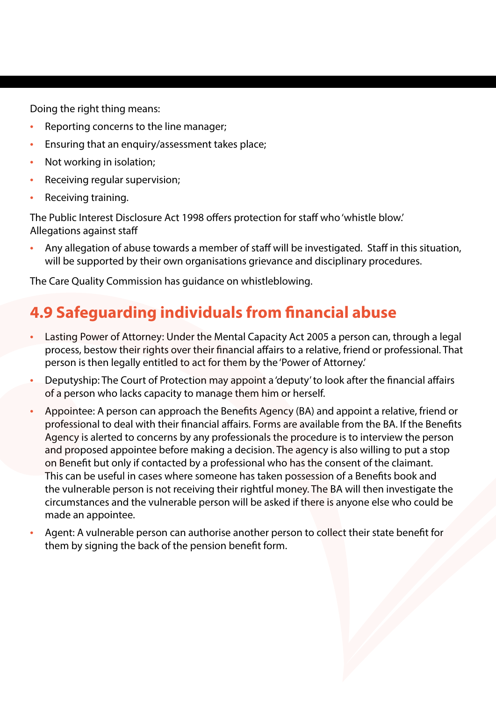Doing the right thing means:

- Reporting concerns to the line manager;
- Ensuring that an enquiry/assessment takes place;
- Not working in isolation;
- Receiving regular supervision;
- Receiving training.

The Public Interest Disclosure Act 1998 offers protection for staff who 'whistle blow.' Allegations against staff

• Any allegation of abuse towards a member of staff will be investigated. Staff in this situation, will be supported by their own organisations grievance and disciplinary procedures.

The Care Quality Commission has [guidance on whistleblowing.](https://www.cqc.org.uk/sites/default/files/20160108_Whistleblowing_quick_guide_final_update.pdf%0D)

#### **4.9 Safeguarding individuals from financial abuse**

- Lasting Power of Attorney: Under the Mental Capacity Act 2005 a person can, through a legal process, bestow their rights over their financial affairs to a relative, friend or professional. That person is then legally entitled to act for them by the 'Power of Attorney.'
- Deputyship: The Court of Protection may appoint a 'deputy' to look after the financial affairs of a person who lacks capacity to manage them him or herself.
- Appointee: A person can approach the Benefits Agency (BA) and appoint a relative, friend or professional to deal with their financial affairs. Forms are available from the BA. If the Benefits Agency is alerted to concerns by any professionals the procedure is to interview the person and proposed appointee before making a decision. The agency is also willing to put a stop on Benefit but only if contacted by a professional who has the consent of the claimant. This can be useful in cases where someone has taken possession of a Benefits book and the vulnerable person is not receiving their rightful money. The BA will then investigate the circumstances and the vulnerable person will be asked if there is anyone else who could be made an appointee.
- Agent: A vulnerable person can authorise another person to collect their state benefit for them by signing the back of the pension benefit form.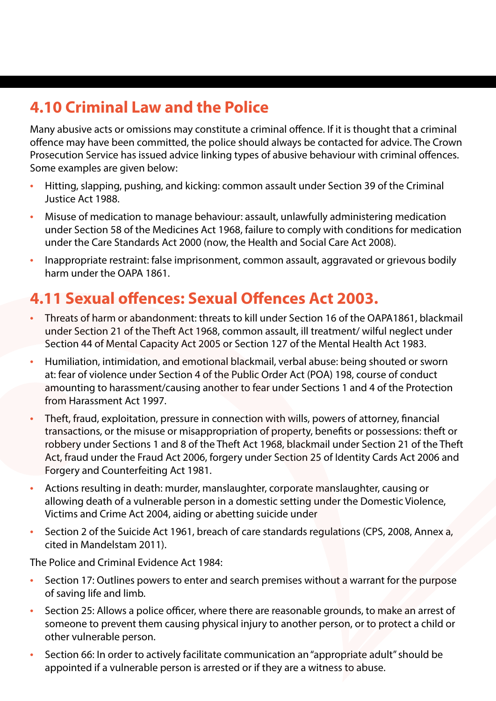# **4.10 Criminal Law and the Police**

Many abusive acts or omissions may constitute a criminal offence. If it is thought that a criminal offence may have been committed, the police should always be contacted for advice. The Crown Prosecution Service has issued advice linking types of abusive behaviour with criminal offences. Some examples are given below:

- Hitting, slapping, pushing, and kicking: common assault under Section 39 of the Criminal Justice Act 1988.
- Misuse of medication to manage behaviour: assault, unlawfully administering medication under Section 58 of the Medicines Act 1968, failure to comply with conditions for medication under the Care Standards Act 2000 (now, the Health and Social Care Act 2008).
- Inappropriate restraint: false imprisonment, common assault, aggravated or grievous bodily harm under the OAPA 1861.

## **4.11 Sexual offences: Sexual Offences Act 2003.**

- Threats of harm or abandonment: threats to kill under Section 16 of the OAPA1861, blackmail under Section 21 of the Theft Act 1968, common assault, ill treatment/ wilful neglect under Section 44 of Mental Capacity Act 2005 or Section 127 of the Mental Health Act 1983.
- Humiliation, intimidation, and emotional blackmail, verbal abuse: being shouted or sworn at: fear of violence under Section 4 of the Public Order Act (POA) 198, course of conduct amounting to harassment/causing another to fear under Sections 1 and 4 of the Protection from Harassment Act 1997.
- Theft, fraud, exploitation, pressure in connection with wills, powers of attorney, financial transactions, or the misuse or misappropriation of property, benefits or possessions: theft or robbery under Sections 1 and 8 of the Theft Act 1968, blackmail under Section 21 of the Theft Act, fraud under the Fraud Act 2006, forgery under Section 25 of Identity Cards Act 2006 and Forgery and Counterfeiting Act 1981.
- Actions resulting in death: murder, manslaughter, corporate manslaughter, causing or allowing death of a vulnerable person in a domestic setting under the Domestic Violence, Victims and Crime Act 2004, aiding or abetting suicide under
- Section 2 of the Suicide Act 1961, breach of care standards regulations (CPS, 2008, Annex a, cited in Mandelstam 2011).

The Police and Criminal Evidence Act 1984:

- Section 17: Outlines powers to enter and search premises without a warrant for the purpose of saving life and limb.
- Section 25: Allows a police officer, where there are reasonable grounds, to make an arrest of someone to prevent them causing physical injury to another person, or to protect a child or other vulnerable person.
- Section 66: In order to actively facilitate communication an "appropriate adult" should be appointed if a vulnerable person is arrested or if they are a witness to abuse.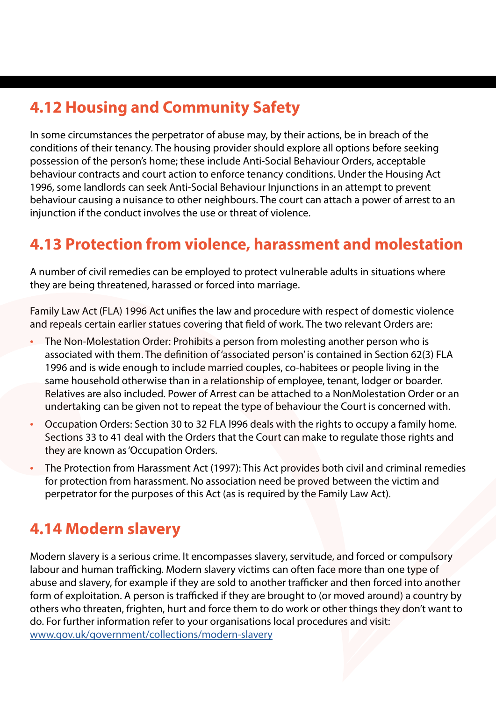## **4.12 Housing and Community Safety**

In some circumstances the perpetrator of abuse may, by their actions, be in breach of the conditions of their tenancy. The housing provider should explore all options before seeking possession of the person's home; these include Anti-Social Behaviour Orders, acceptable behaviour contracts and court action to enforce tenancy conditions. Under the Housing Act 1996, some landlords can seek Anti-Social Behaviour Injunctions in an attempt to prevent behaviour causing a nuisance to other neighbours. The court can attach a power of arrest to an injunction if the conduct involves the use or threat of violence.

#### **4.13 Protection from violence, harassment and molestation**

A number of civil remedies can be employed to protect vulnerable adults in situations where they are being threatened, harassed or forced into marriage.

Family Law Act (FLA) 1996 Act unifies the law and procedure with respect of domestic violence and repeals certain earlier statues covering that field of work. The two relevant Orders are:

- The Non-Molestation Order: Prohibits a person from molesting another person who is associated with them. The definition of 'associated person' is contained in Section 62(3) FLA 1996 and is wide enough to include married couples, co-habitees or people living in the same household otherwise than in a relationship of employee, tenant, lodger or boarder. Relatives are also included. Power of Arrest can be attached to a NonMolestation Order or an undertaking can be given not to repeat the type of behaviour the Court is concerned with.
- Occupation Orders: Section 30 to 32 FLA l996 deals with the rights to occupy a family home. Sections 33 to 41 deal with the Orders that the Court can make to regulate those rights and they are known as 'Occupation Orders.
- The Protection from Harassment Act (1997): This Act provides both civil and criminal remedies for protection from harassment. No association need be proved between the victim and perpetrator for the purposes of this Act (as is required by the Family Law Act).

#### **4.14 Modern slavery**

Modern slavery is a serious crime. It encompasses slavery, servitude, and forced or compulsory labour and human trafficking. Modern slavery victims can often face more than one type of abuse and slavery, for example if they are sold to another trafficker and then forced into another form of exploitation. A person is trafficked if they are brought to (or moved around) a country by others who threaten, frighten, hurt and force them to do work or other things they don't want to do. For further information refer to your organisations local procedures and visit: [www.gov.uk/government/collections/modern-slavery](http://www.gov.uk/government/collections/modern-slavery)